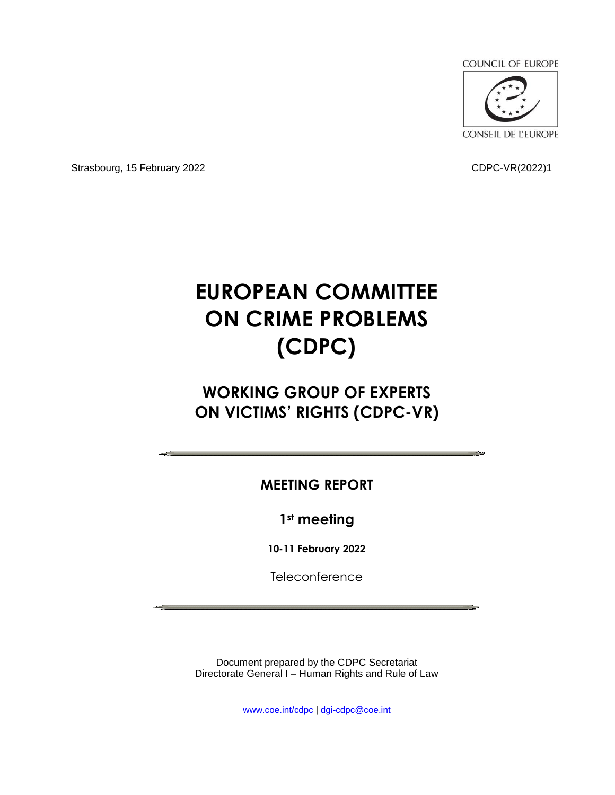**COUNCIL OF EUROPE** 



Strasbourg, 15 February 2022 **CDPC-VR(2022)1** 

## **EUROPEAN COMMITTEE ON CRIME PROBLEMS (CDPC)**

### **WORKING GROUP OF EXPERTS ON VICTIMS' RIGHTS (CDPC-VR)**

### **MEETING REPORT**

**1st meeting**

**10-11 February 2022**

**Teleconference** 

Document prepared by the CDPC Secretariat Directorate General I – Human Rights and Rule of Law

www.coe.int/cdpc | dgi-cdpc@coe.int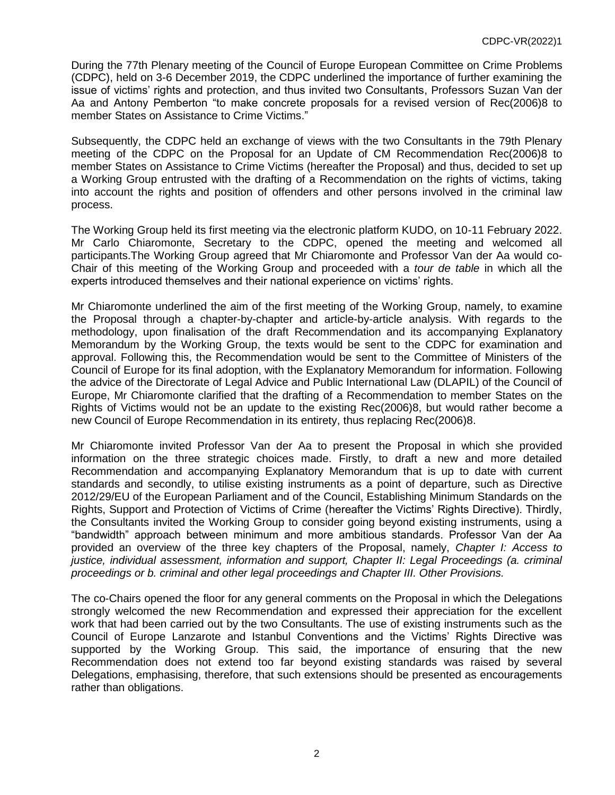During the 77th Plenary meeting of the Council of Europe European Committee on Crime Problems (CDPC), held on 3-6 December 2019, the CDPC underlined the importance of further examining the issue of victims' rights and protection, and thus invited two Consultants, Professors Suzan Van der Aa and Antony Pemberton "to make concrete proposals for a revised version of Rec(2006)8 to member States on Assistance to Crime Victims."

Subsequently, the CDPC held an exchange of views with the two Consultants in the 79th Plenary meeting of the CDPC on the Proposal for an Update of CM Recommendation Rec(2006)8 to member States on Assistance to Crime Victims (hereafter the Proposal) and thus, decided to set up a Working Group entrusted with the drafting of a Recommendation on the rights of victims, taking into account the rights and position of offenders and other persons involved in the criminal law process.

The Working Group held its first meeting via the electronic platform KUDO, on 10-11 February 2022. Mr Carlo Chiaromonte, Secretary to the CDPC, opened the meeting and welcomed all participants.The Working Group agreed that Mr Chiaromonte and Professor Van der Aa would co-Chair of this meeting of the Working Group and proceeded with a *tour de table* in which all the experts introduced themselves and their national experience on victims' rights.

Mr Chiaromonte underlined the aim of the first meeting of the Working Group, namely, to examine the Proposal through a chapter-by-chapter and article-by-article analysis. With regards to the methodology, upon finalisation of the draft Recommendation and its accompanying Explanatory Memorandum by the Working Group, the texts would be sent to the CDPC for examination and approval. Following this, the Recommendation would be sent to the Committee of Ministers of the Council of Europe for its final adoption, with the Explanatory Memorandum for information. Following the advice of the Directorate of Legal Advice and Public International Law (DLAPIL) of the Council of Europe, Mr Chiaromonte clarified that the drafting of a Recommendation to member States on the Rights of Victims would not be an update to the existing Rec(2006)8, but would rather become a new Council of Europe Recommendation in its entirety, thus replacing Rec(2006)8.

Mr Chiaromonte invited Professor Van der Aa to present the Proposal in which she provided information on the three strategic choices made. Firstly, to draft a new and more detailed Recommendation and accompanying Explanatory Memorandum that is up to date with current standards and secondly, to utilise existing instruments as a point of departure, such as Directive 2012/29/EU of the European Parliament and of the Council, Establishing Minimum Standards on the Rights, Support and Protection of Victims of Crime (hereafter the Victims' Rights Directive). Thirdly, the Consultants invited the Working Group to consider going beyond existing instruments, using a "bandwidth" approach between minimum and more ambitious standards. Professor Van der Aa provided an overview of the three key chapters of the Proposal, namely, *Chapter I: Access to justice, individual assessment, information and support, Chapter II: Legal Proceedings (a. criminal proceedings or b. criminal and other legal proceedings and Chapter III. Other Provisions.*

The co-Chairs opened the floor for any general comments on the Proposal in which the Delegations strongly welcomed the new Recommendation and expressed their appreciation for the excellent work that had been carried out by the two Consultants. The use of existing instruments such as the Council of Europe Lanzarote and Istanbul Conventions and the Victims' Rights Directive was supported by the Working Group. This said, the importance of ensuring that the new Recommendation does not extend too far beyond existing standards was raised by several Delegations, emphasising, therefore, that such extensions should be presented as encouragements rather than obligations.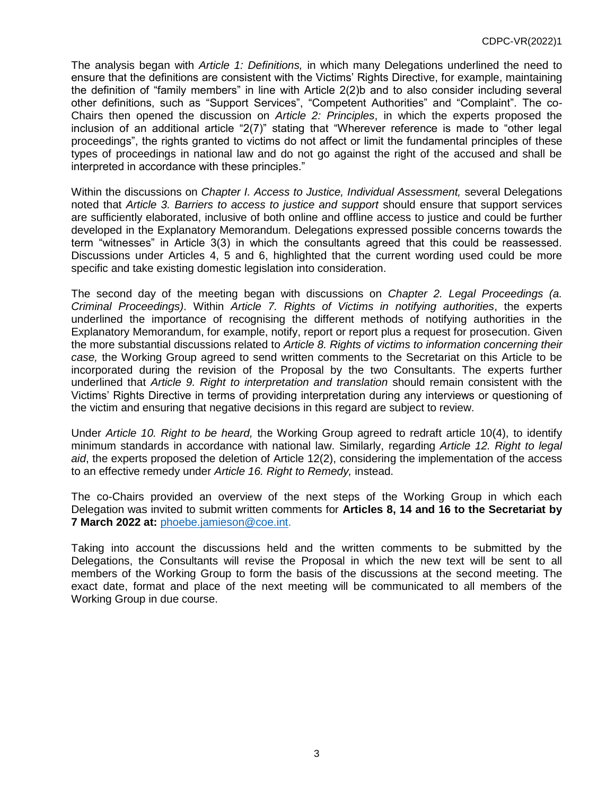The analysis began with *Article 1: Definitions,* in which many Delegations underlined the need to ensure that the definitions are consistent with the Victims' Rights Directive, for example, maintaining the definition of "family members" in line with Article 2(2)b and to also consider including several other definitions, such as "Support Services", "Competent Authorities" and "Complaint". The co-Chairs then opened the discussion on *Article 2: Principles*, in which the experts proposed the inclusion of an additional article "2(7)" stating that "Wherever reference is made to "other legal proceedings", the rights granted to victims do not affect or limit the fundamental principles of these types of proceedings in national law and do not go against the right of the accused and shall be interpreted in accordance with these principles."

Within the discussions on *Chapter I. Access to Justice, Individual Assessment,* several Delegations noted that *Article 3. Barriers to access to justice and support* should ensure that support services are sufficiently elaborated, inclusive of both online and offline access to justice and could be further developed in the Explanatory Memorandum. Delegations expressed possible concerns towards the term "witnesses" in Article 3(3) in which the consultants agreed that this could be reassessed. Discussions under Articles 4, 5 and 6, highlighted that the current wording used could be more specific and take existing domestic legislation into consideration.

The second day of the meeting began with discussions on *Chapter 2. Legal Proceedings (a. Criminal Proceedings)*. Within *Article 7. Rights of Victims in notifying authorities*, the experts underlined the importance of recognising the different methods of notifying authorities in the Explanatory Memorandum, for example, notify, report or report plus a request for prosecution. Given the more substantial discussions related to *Article 8. Rights of victims to information concerning their case,* the Working Group agreed to send written comments to the Secretariat on this Article to be incorporated during the revision of the Proposal by the two Consultants. The experts further underlined that *Article 9. Right to interpretation and translation* should remain consistent with the Victims' Rights Directive in terms of providing interpretation during any interviews or questioning of the victim and ensuring that negative decisions in this regard are subject to review.

Under *Article 10. Right to be heard,* the Working Group agreed to redraft article 10(4), to identify minimum standards in accordance with national law. Similarly, regarding *Article 12. Right to legal aid*, the experts proposed the deletion of Article 12(2), considering the implementation of the access to an effective remedy under *Article 16. Right to Remedy,* instead.

The co-Chairs provided an overview of the next steps of the Working Group in which each Delegation was invited to submit written comments for **Articles 8, 14 and 16 to the Secretariat by 7 March 2022 at:** [phoebe.jamieson@coe.int.](mailto:phoebe.jamieson@coe.int)

Taking into account the discussions held and the written comments to be submitted by the Delegations, the Consultants will revise the Proposal in which the new text will be sent to all members of the Working Group to form the basis of the discussions at the second meeting. The exact date, format and place of the next meeting will be communicated to all members of the Working Group in due course.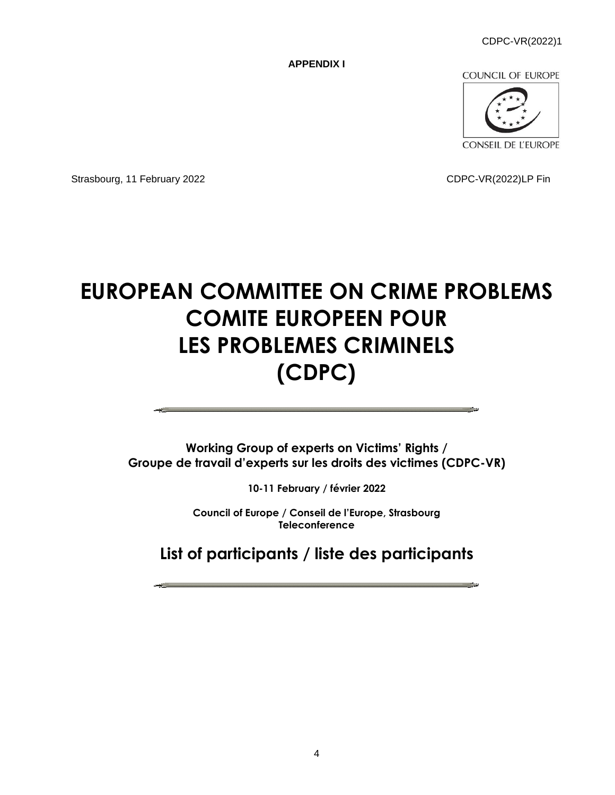CDPC-VR(2022)1

**APPENDIX I**

**COUNCIL OF EUROPE** 



Strasbourg, 11 February 2022 CDPC-VR(2022)LP Fin

# **EUROPEAN COMMITTEE ON CRIME PROBLEMS COMITE EUROPEEN POUR LES PROBLEMES CRIMINELS (CDPC)**

**Working Group of experts on Victims' Rights / Groupe de travail d'experts sur les droits des victimes (CDPC-VR)**

**10-11 February / février 2022**

**Council of Europe / Conseil de l'Europe, Strasbourg Teleconference**

**List of participants / liste des participants**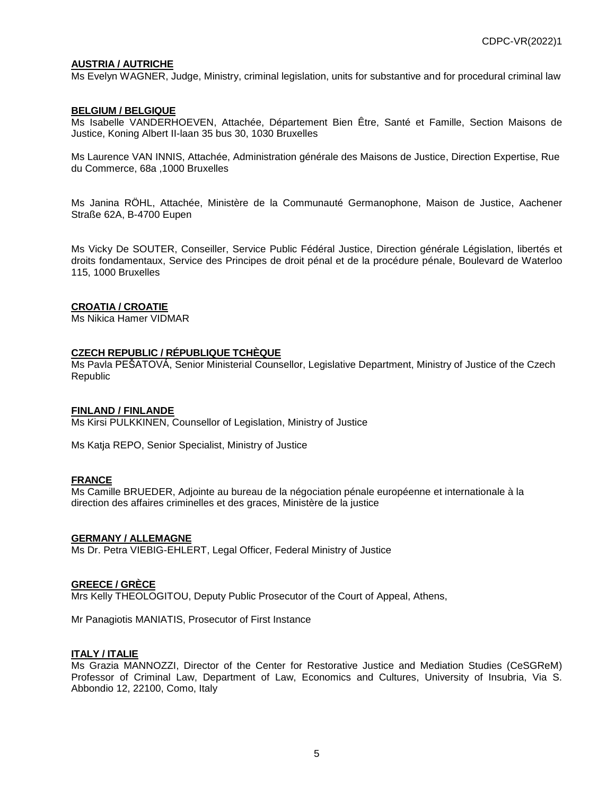#### **AUSTRIA / AUTRICHE**

Ms Evelyn WAGNER, Judge, Ministry, criminal legislation, units for substantive and for procedural criminal law

#### **BELGIUM / BELGIQUE**

Ms Isabelle VANDERHOEVEN, Attachée, Département Bien Être, Santé et Famille, Section Maisons de Justice, Koning Albert II-laan 35 bus 30, 1030 Bruxelles

Ms Laurence VAN INNIS, Attachée, Administration générale des Maisons de Justice, Direction Expertise, Rue du Commerce, 68a ,1000 Bruxelles

Ms Janina RÖHL, Attachée, Ministère de la Communauté Germanophone, Maison de Justice, Aachener Straße 62A, B-4700 Eupen

Ms Vicky De SOUTER, Conseiller, Service Public Fédéral Justice, Direction générale Législation, libertés et droits fondamentaux, Service des Principes de droit pénal et de la procédure pénale, Boulevard de Waterloo 115, 1000 Bruxelles

#### **CROATIA / CROATIE**

Ms Nikica Hamer VIDMAR

#### **CZECH REPUBLIC / RÉPUBLIQUE TCHÈQUE**

Ms Pavla PEŠATOVÁ, Senior Ministerial Counsellor, Legislative Department, Ministry of Justice of the Czech Republic

#### **FINLAND / FINLANDE**

Ms Kirsi PULKKINEN, Counsellor of Legislation, Ministry of Justice

Ms Katja REPO, Senior Specialist, Ministry of Justice

#### **FRANCE**

Ms Camille BRUEDER, Adjointe au bureau de la négociation pénale européenne et internationale à la direction des affaires criminelles et des graces, Ministère de la justice

#### **GERMANY / ALLEMAGNE**

Ms Dr. Petra VIEBIG-EHLERT, Legal Officer, Federal Ministry of Justice

#### **GREECE / GRÈCE**

Mrs Kelly THEOLOGITOU, Deputy Public Prosecutor of the Court of Appeal, Athens,

Mr Panagiotis MANIATIS, Prosecutor of First Instance

#### **ITALY / ITALIE**

Ms Grazia MANNOZZI, Director of the Center for Restorative Justice and Mediation Studies (CeSGReM) Professor of Criminal Law, Department of Law, Economics and Cultures, University of Insubria, Via S. Abbondio 12, 22100, Como, Italy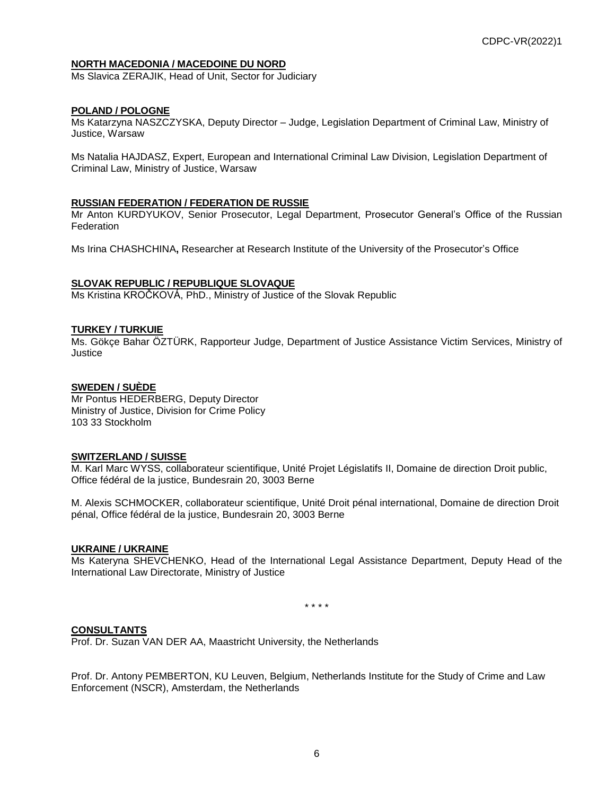#### **NORTH MACEDONIA / MACEDOINE DU NORD**

Ms Slavica ZERAJIK, Head of Unit, Sector for Judiciary

#### **POLAND / POLOGNE**

Ms Katarzyna NASZCZYSKA, Deputy Director – Judge, Legislation Department of Criminal Law, Ministry of Justice, Warsaw

Ms Natalia HAJDASZ, Expert, European and International Criminal Law Division, Legislation Department of Criminal Law, Ministry of Justice, Warsaw

#### **RUSSIAN FEDERATION / FEDERATION DE RUSSIE**

Mr Anton KURDYUKOV, Senior Prosecutor, Legal Department, Prosecutor General's Office of the Russian Federation

Ms Irina CHASHCHINA**,** Researcher at Research Institute of the University of the Prosecutor's Office

#### **SLOVAK REPUBLIC / REPUBLIQUE SLOVAQUE**

Ms Kristina KROČKOVÁ, PhD., Ministry of Justice of the Slovak Republic

#### **TURKEY / TURKUIE**

Ms. Gökçe Bahar ÖZTÜRK, Rapporteur Judge, Department of Justice Assistance Victim Services, Ministry of **Justice** 

#### **SWEDEN / SUÈDE**

Mr Pontus HEDERBERG, Deputy Director Ministry of Justice, Division for Crime Policy 103 33 Stockholm

#### **SWITZERLAND / SUISSE**

M. Karl Marc WYSS, collaborateur scientifique, Unité Projet Législatifs II, Domaine de direction Droit public, Office fédéral de la justice, Bundesrain 20, 3003 Berne

M. Alexis SCHMOCKER, collaborateur scientifique, Unité Droit pénal international, Domaine de direction Droit pénal, Office fédéral de la justice, Bundesrain 20, 3003 Berne

#### **UKRAINE / UKRAINE**

Ms Kateryna SHEVCHENKO, Head of the International Legal Assistance Department, Deputy Head of the International Law Directorate, Ministry of Justice

\* \* \* \*

#### **CONSULTANTS**

Prof. Dr. Suzan VAN DER AA, Maastricht University, the Netherlands

Prof. Dr. Antony PEMBERTON, KU Leuven, Belgium, Netherlands Institute for the Study of Crime and Law Enforcement (NSCR), Amsterdam, the Netherlands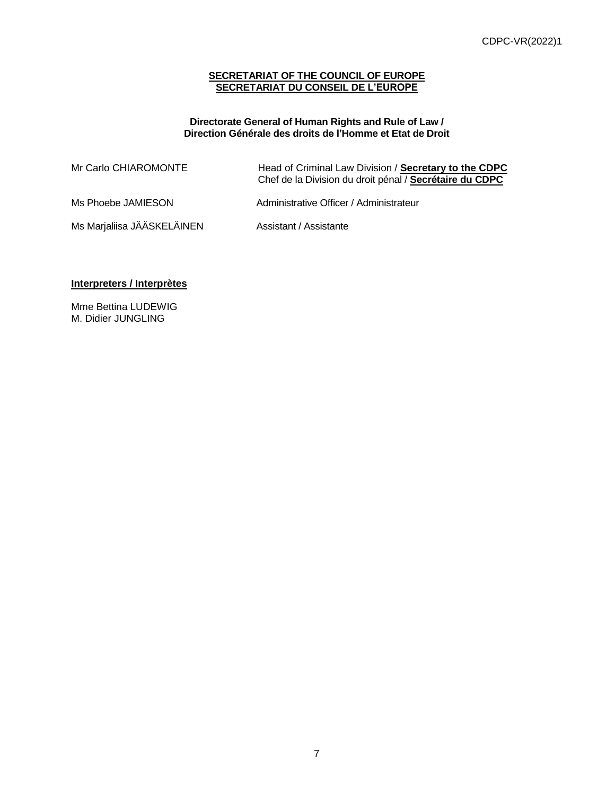#### **SECRETARIAT OF THE COUNCIL OF EUROPE SECRETARIAT DU CONSEIL DE L'EUROPE**

#### **Directorate General of Human Rights and Rule of Law / Direction Générale des droits de l'Homme et Etat de Droit**

| Mr Carlo CHIAROMONTE       | Head of Criminal Law Division / Secretary to the CDPC<br>Chef de la Division du droit pénal / Secrétaire du CDPC |
|----------------------------|------------------------------------------------------------------------------------------------------------------|
| Ms Phoebe JAMIESON         | Administrative Officer / Administrateur                                                                          |
| Ms Marjaliisa JÄÄSKELÄINEN | Assistant / Assistante                                                                                           |

#### **Interpreters / Interprètes**

Mme Bettina LUDEWIG M. Didier JUNGLING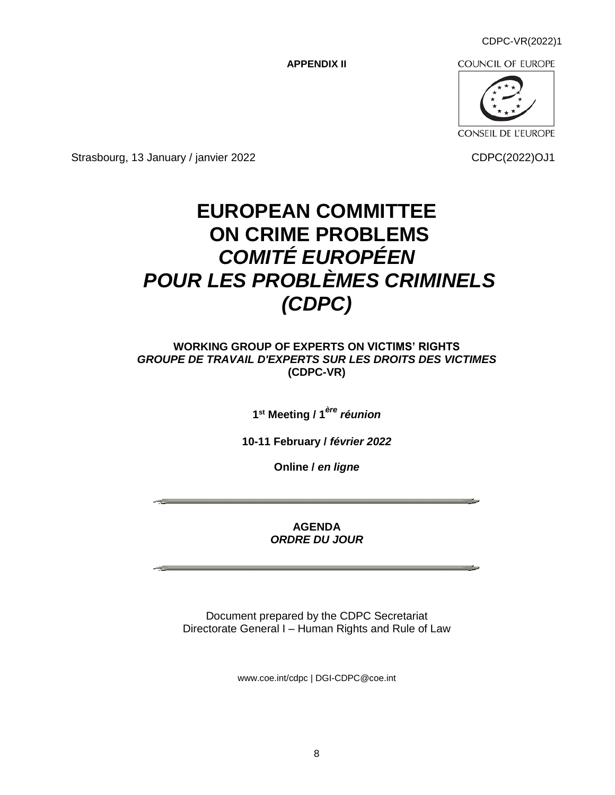CDPC-VR(2022)1

**APPENDIX II**

**COUNCIL OF EUROPE** 



Strasbourg, 13 January / janvier 2022 CDPC(2022)OJ1

## **EUROPEAN COMMITTEE ON CRIME PROBLEMS** *COMITÉ EUROPÉEN POUR LES PROBLÈMES CRIMINELS (CDPC)*

#### **WORKING GROUP OF EXPERTS ON VICTIMS' RIGHTS** *GROUPE DE TRAVAIL D'EXPERTS SUR LES DROITS DES VICTIMES*  **(CDPC-VR)**

**1 st Meeting / 1** *ère réunion*

**10-11 February /** *février 2022*

**Online /** *en ligne*

**AGENDA** *ORDRE DU JOUR*

Document prepared by the CDPC Secretariat Directorate General I – Human Rights and Rule of Law

[www.coe.int/cdpc](http://www.coe.int/cdpc) | [DGI-CDPC@coe.int](mailto:DGI-CDPC@coe.int)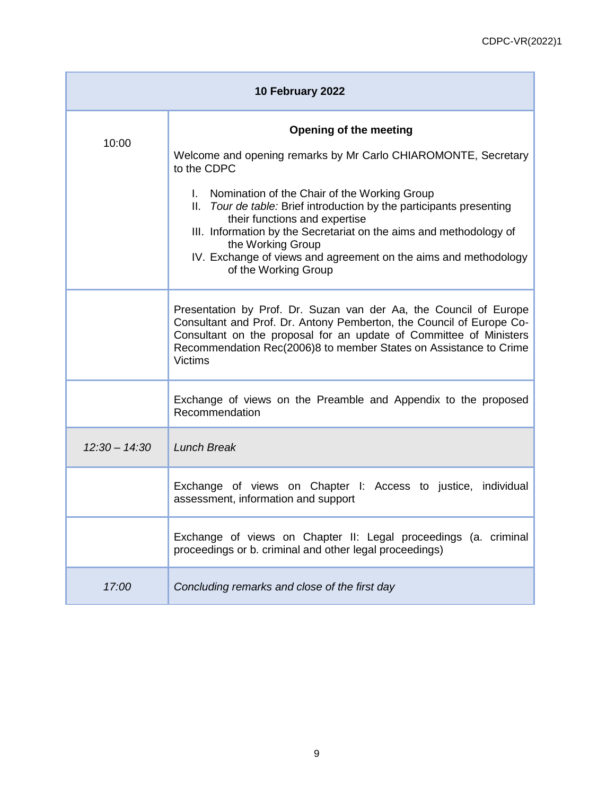| 10 February 2022 |                                                                                                                                                                                                                                                                                                        |
|------------------|--------------------------------------------------------------------------------------------------------------------------------------------------------------------------------------------------------------------------------------------------------------------------------------------------------|
| 10:00            | Opening of the meeting                                                                                                                                                                                                                                                                                 |
|                  | Welcome and opening remarks by Mr Carlo CHIAROMONTE, Secretary<br>to the CDPC                                                                                                                                                                                                                          |
|                  | I. Nomination of the Chair of the Working Group<br>II. Tour de table: Brief introduction by the participants presenting<br>their functions and expertise                                                                                                                                               |
|                  | III. Information by the Secretariat on the aims and methodology of<br>the Working Group<br>IV. Exchange of views and agreement on the aims and methodology<br>of the Working Group                                                                                                                     |
|                  | Presentation by Prof. Dr. Suzan van der Aa, the Council of Europe<br>Consultant and Prof. Dr. Antony Pemberton, the Council of Europe Co-<br>Consultant on the proposal for an update of Committee of Ministers<br>Recommendation Rec(2006)8 to member States on Assistance to Crime<br><b>Victims</b> |
|                  | Exchange of views on the Preamble and Appendix to the proposed<br>Recommendation                                                                                                                                                                                                                       |
| $12:30 - 14:30$  | <b>Lunch Break</b>                                                                                                                                                                                                                                                                                     |
|                  | Exchange of views on Chapter I: Access to justice, individual<br>assessment, information and support                                                                                                                                                                                                   |
|                  | Exchange of views on Chapter II: Legal proceedings (a. criminal<br>proceedings or b. criminal and other legal proceedings)                                                                                                                                                                             |
| 17:00            | Concluding remarks and close of the first day                                                                                                                                                                                                                                                          |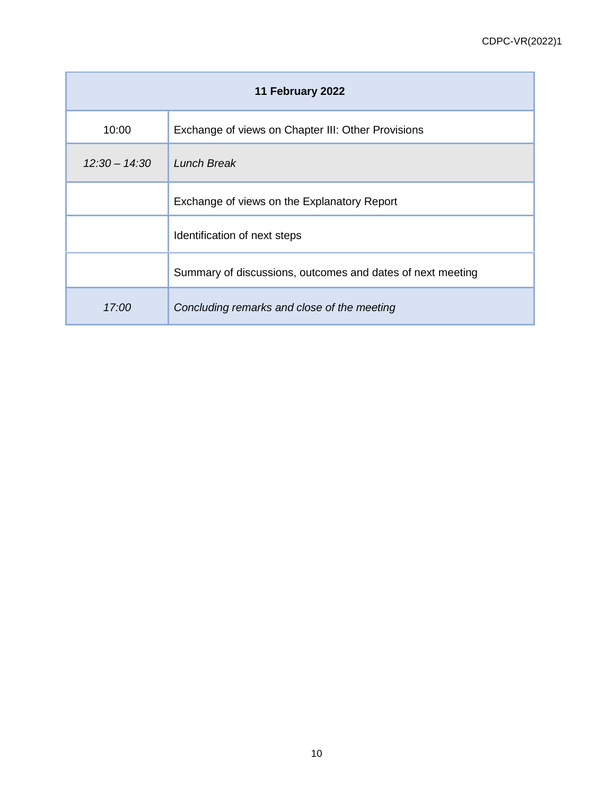| 11 February 2022 |                                                            |  |
|------------------|------------------------------------------------------------|--|
| 10:00            | Exchange of views on Chapter III: Other Provisions         |  |
| $12:30 - 14:30$  | Lunch Break                                                |  |
|                  | Exchange of views on the Explanatory Report                |  |
|                  | Identification of next steps                               |  |
|                  | Summary of discussions, outcomes and dates of next meeting |  |
| 17:00            | Concluding remarks and close of the meeting                |  |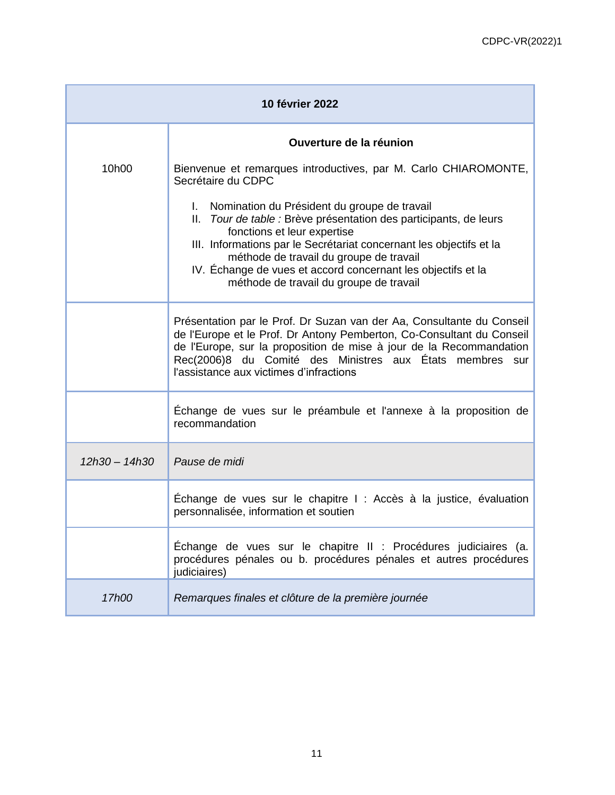| <b>10 février 2022</b> |                                                                                                                                                                                                                                                                                                                              |  |
|------------------------|------------------------------------------------------------------------------------------------------------------------------------------------------------------------------------------------------------------------------------------------------------------------------------------------------------------------------|--|
|                        | Ouverture de la réunion                                                                                                                                                                                                                                                                                                      |  |
| 10 <sub>h00</sub>      | Bienvenue et remarques introductives, par M. Carlo CHIAROMONTE,<br>Secrétaire du CDPC                                                                                                                                                                                                                                        |  |
|                        | I. Nomination du Président du groupe de travail<br>II. Tour de table : Brève présentation des participants, de leurs<br>fonctions et leur expertise<br>III. Informations par le Secrétariat concernant les objectifs et la                                                                                                   |  |
|                        | méthode de travail du groupe de travail<br>IV. Échange de vues et accord concernant les objectifs et la<br>méthode de travail du groupe de travail                                                                                                                                                                           |  |
|                        | Présentation par le Prof. Dr Suzan van der Aa, Consultante du Conseil<br>de l'Europe et le Prof. Dr Antony Pemberton, Co-Consultant du Conseil<br>de l'Europe, sur la proposition de mise à jour de la Recommandation<br>Rec(2006)8 du Comité des Ministres aux États membres sur<br>l'assistance aux victimes d'infractions |  |
|                        | Échange de vues sur le préambule et l'annexe à la proposition de<br>recommandation                                                                                                                                                                                                                                           |  |
| $12h30 - 14h30$        | Pause de midi                                                                                                                                                                                                                                                                                                                |  |
|                        | Échange de vues sur le chapitre I : Accès à la justice, évaluation<br>personnalisée, information et soutien                                                                                                                                                                                                                  |  |
|                        | Échange de vues sur le chapitre II : Procédures judiciaires (a.<br>procédures pénales ou b. procédures pénales et autres procédures<br>judiciaires)                                                                                                                                                                          |  |
| 17h00                  | Remarques finales et clôture de la première journée                                                                                                                                                                                                                                                                          |  |